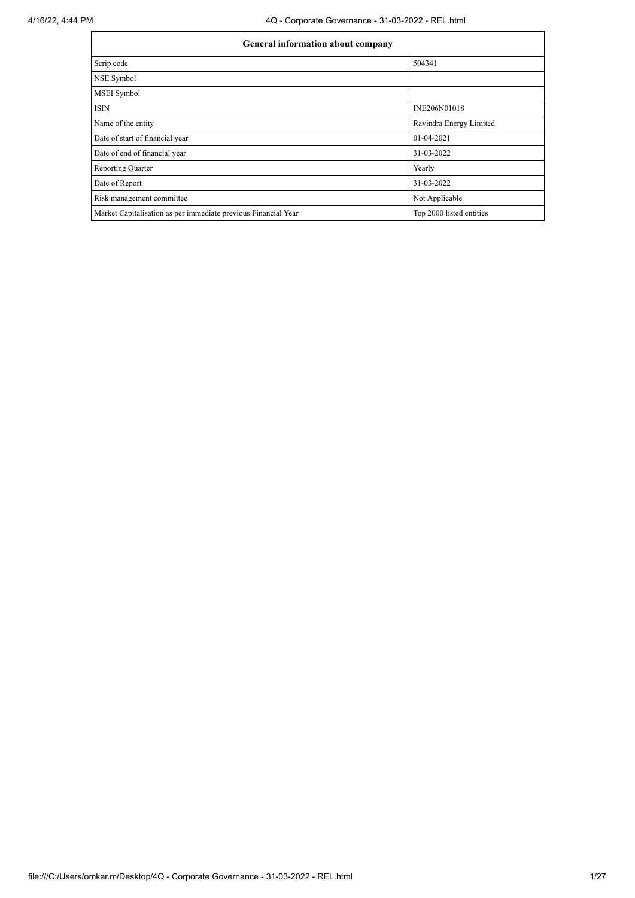| Scherar miormation about company                               |                          |
|----------------------------------------------------------------|--------------------------|
| Scrip code                                                     | 504341                   |
| NSE Symbol                                                     |                          |
| <b>MSEI</b> Symbol                                             |                          |
| <b>ISIN</b>                                                    | INE206N01018             |
| Name of the entity                                             | Ravindra Energy Limited  |
| Date of start of financial year                                | 01-04-2021               |
| Date of end of financial year                                  | 31-03-2022               |
| <b>Reporting Quarter</b>                                       | Yearly                   |
| Date of Report                                                 | 31-03-2022               |
| Risk management committee                                      | Not Applicable           |
| Market Capitalisation as per immediate previous Financial Year | Top 2000 listed entities |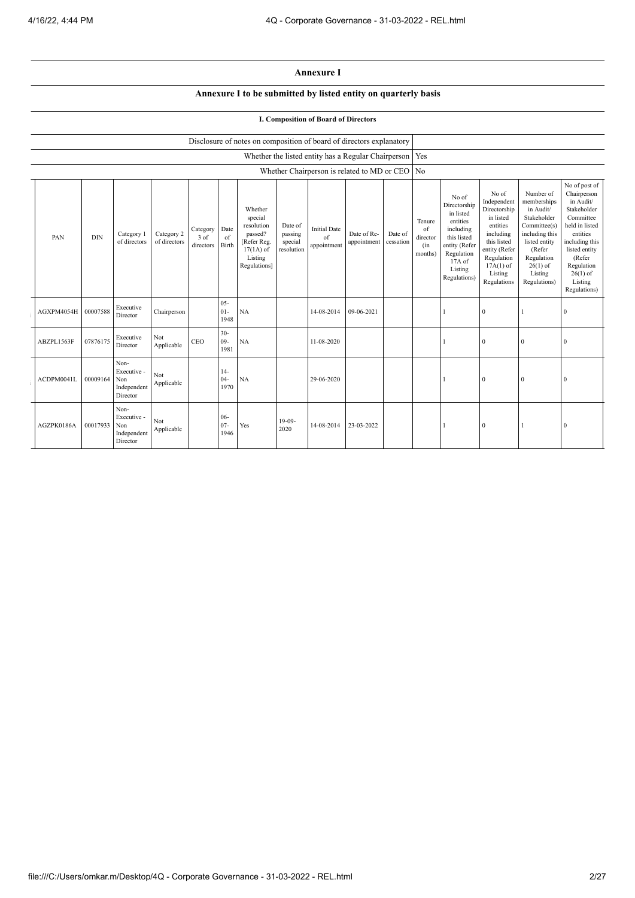## **Annexure I**

## **Annexure I to be submitted by listed entity on quarterly basis**

## **I. Composition of Board of Directors**

|            |              |                                                |                            |                               |                          | Disclosure of notes on composition of board of directors explanatory                                 |                                             |                                          |                                                           |                      |                                            |                                                                                                                                                  |                                                                                                                                                                   |                                                                                                                                                                          |                                                                                                                                                                                                         |
|------------|--------------|------------------------------------------------|----------------------------|-------------------------------|--------------------------|------------------------------------------------------------------------------------------------------|---------------------------------------------|------------------------------------------|-----------------------------------------------------------|----------------------|--------------------------------------------|--------------------------------------------------------------------------------------------------------------------------------------------------|-------------------------------------------------------------------------------------------------------------------------------------------------------------------|--------------------------------------------------------------------------------------------------------------------------------------------------------------------------|---------------------------------------------------------------------------------------------------------------------------------------------------------------------------------------------------------|
|            |              |                                                |                            |                               |                          |                                                                                                      |                                             |                                          | Whether the listed entity has a Regular Chairperson   Yes |                      |                                            |                                                                                                                                                  |                                                                                                                                                                   |                                                                                                                                                                          |                                                                                                                                                                                                         |
|            |              |                                                |                            |                               |                          |                                                                                                      |                                             |                                          | Whether Chairperson is related to MD or CEO No            |                      |                                            |                                                                                                                                                  |                                                                                                                                                                   |                                                                                                                                                                          |                                                                                                                                                                                                         |
| PAN        | <b>DIN</b>   | Category 1<br>of directors                     | Category 2<br>of directors | Category<br>3 of<br>directors | Date<br>of<br>Birth      | Whether<br>special<br>resolution<br>passed?<br>[Refer Reg.<br>$17(1A)$ of<br>Listing<br>Regulations] | Date of<br>passing<br>special<br>resolution | <b>Initial Date</b><br>of<br>appointment | Date of Re-<br>appointment                                | Date of<br>cessation | Tenure<br>of<br>director<br>(in<br>months) | No of<br>Directorship<br>in listed<br>entities<br>including<br>this listed<br>entity (Refer<br>Regulation<br>$17A$ of<br>Listing<br>Regulations) | No of<br>Independent<br>Directorship<br>in listed<br>entities<br>including<br>this listed<br>entity (Refer<br>Regulation<br>$17A(1)$ of<br>Listing<br>Regulations | Number of<br>memberships<br>in Audit/<br>Stakeholder<br>Committee(s)<br>including this<br>listed entity<br>(Refer<br>Regulation<br>$26(1)$ of<br>Listing<br>Regulations) | No of post of<br>Chairperson<br>in Audit/<br>Stakeholder<br>Committee<br>held in listed<br>entities<br>including this<br>listed entity<br>(Refer<br>Regulation<br>$26(1)$ of<br>Listing<br>Regulations) |
| AGXPM4054H | 00007588     | Executive<br>Director                          | Chairperson                |                               | $05 -$<br>$01 -$<br>1948 | NA                                                                                                   |                                             | 14-08-2014                               | 09-06-2021                                                |                      |                                            |                                                                                                                                                  | $\boldsymbol{0}$                                                                                                                                                  |                                                                                                                                                                          | $\mathbf{0}$                                                                                                                                                                                            |
| ABZPL1563F | 07876175     | Executive<br>Director                          | Not<br>Applicable          | CEO                           | $30 -$<br>$09-$<br>1981  | NA                                                                                                   |                                             | 11-08-2020                               |                                                           |                      |                                            |                                                                                                                                                  | $\mathbf{0}$                                                                                                                                                      | $\mathbf{0}$                                                                                                                                                             | $\mathbf{0}$                                                                                                                                                                                            |
| ACDPM0041L | 00009164 Non | Non-<br>Executive -<br>Independent<br>Director | Not<br>Applicable          |                               | $14-$<br>$04 -$<br>1970  | NA                                                                                                   |                                             | 29-06-2020                               |                                                           |                      |                                            |                                                                                                                                                  | $\mathbf{0}$                                                                                                                                                      | $\mathbf{0}$                                                                                                                                                             | $\Omega$                                                                                                                                                                                                |
| AGZPK0186A | 00017933 Non | Non-<br>Executive -<br>Independent<br>Director | Not<br>Applicable          |                               | $06 -$<br>$07 -$<br>1946 | Yes                                                                                                  | $19-09-$<br>2020                            | 14-08-2014                               | 23-03-2022                                                |                      |                                            |                                                                                                                                                  | $\boldsymbol{0}$                                                                                                                                                  |                                                                                                                                                                          | $\overline{0}$                                                                                                                                                                                          |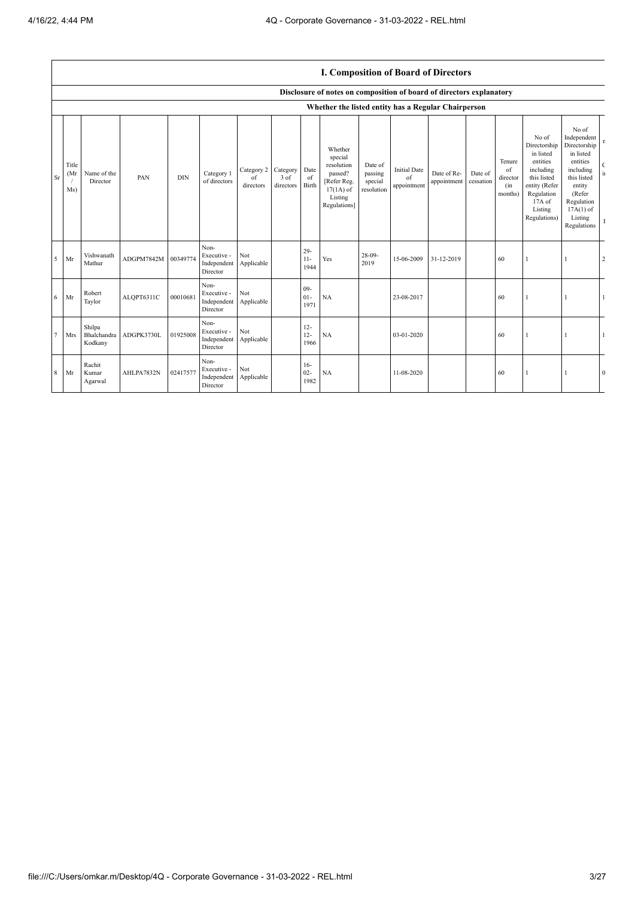|           |                      |                                  |            |            |                                                           |                               |                               |                          |                                                                                                      |                                             | I. Composition of Board of Directors     |                            |                      |                                            |                                                                                                                                                  |                                                                                                                                                                      |                                                             |
|-----------|----------------------|----------------------------------|------------|------------|-----------------------------------------------------------|-------------------------------|-------------------------------|--------------------------|------------------------------------------------------------------------------------------------------|---------------------------------------------|------------------------------------------|----------------------------|----------------------|--------------------------------------------|--------------------------------------------------------------------------------------------------------------------------------------------------|----------------------------------------------------------------------------------------------------------------------------------------------------------------------|-------------------------------------------------------------|
|           |                      |                                  |            |            |                                                           |                               |                               |                          | Disclosure of notes on composition of board of directors explanatory                                 |                                             |                                          |                            |                      |                                            |                                                                                                                                                  |                                                                                                                                                                      |                                                             |
|           |                      |                                  |            |            |                                                           |                               |                               |                          | Whether the listed entity has a Regular Chairperson                                                  |                                             |                                          |                            |                      |                                            |                                                                                                                                                  |                                                                                                                                                                      |                                                             |
| <b>Sr</b> | Title<br>(Mr)<br>Ms) | Name of the<br>Director          | PAN        | <b>DIN</b> | Category 1<br>of directors                                | Category 2<br>of<br>directors | Category<br>3 of<br>directors | Date<br>of<br>Birth      | Whether<br>special<br>resolution<br>passed?<br>[Refer Reg.<br>$17(1A)$ of<br>Listing<br>Regulations] | Date of<br>passing<br>special<br>resolution | <b>Initial Date</b><br>of<br>appointment | Date of Re-<br>appointment | Date of<br>cessation | Tenure<br>of<br>director<br>(in<br>months) | No of<br>Directorship<br>in listed<br>entities<br>including<br>this listed<br>entity (Refer<br>Regulation<br>$17A$ of<br>Listing<br>Regulations) | No of<br>Independent<br>Directorship<br>in listed<br>entities<br>including<br>this listed<br>entity<br>(Refer<br>Regulation<br>$17A(1)$ of<br>Listing<br>Regulations | $\mathbf{r}$<br>$\epsilon$<br>$\rm \dot{n}$<br>$\mathbf{I}$ |
| 5         | Mr                   | Vishwanath<br>Mathur             | ADGPM7842M | 00349774   | Non-<br>Executive -<br>Independent Applicable<br>Director | Not                           |                               | $29-$<br>$11-$<br>1944   | Yes                                                                                                  | $28-09-$<br>2019                            | 15-06-2009                               | 31-12-2019                 |                      | 60                                         |                                                                                                                                                  |                                                                                                                                                                      | 2                                                           |
| 6         | Mr                   | Robert<br>Taylor                 | ALQPT6311C | 00010681   | Non-<br>Executive -<br>Independent<br>Director            | Not<br>Applicable             |                               | $09 -$<br>$01 -$<br>1971 | NA                                                                                                   |                                             | 23-08-2017                               |                            |                      | 60                                         |                                                                                                                                                  |                                                                                                                                                                      |                                                             |
|           | Mrs                  | Shilpa<br>Bhalchandra<br>Kodkany | ADGPK3730L | 01925008   | Non-<br>Executive -<br>Independent<br>Director            | Not<br>Applicable             |                               | $12 -$<br>$12 -$<br>1966 | NA                                                                                                   |                                             | 03-01-2020                               |                            |                      | 60                                         |                                                                                                                                                  | $\mathbf{1}$                                                                                                                                                         |                                                             |
| 8         | Mr                   | Rachit<br>Kumar<br>Agarwal       | AHLPA7832N | 02417577   | Non-<br>Executive -<br>Independent<br>Director            | Not<br>Applicable             |                               | $16-$<br>$02 -$<br>1982  | NA                                                                                                   |                                             | 11-08-2020                               |                            |                      | 60                                         |                                                                                                                                                  |                                                                                                                                                                      | $\mathbf{0}$                                                |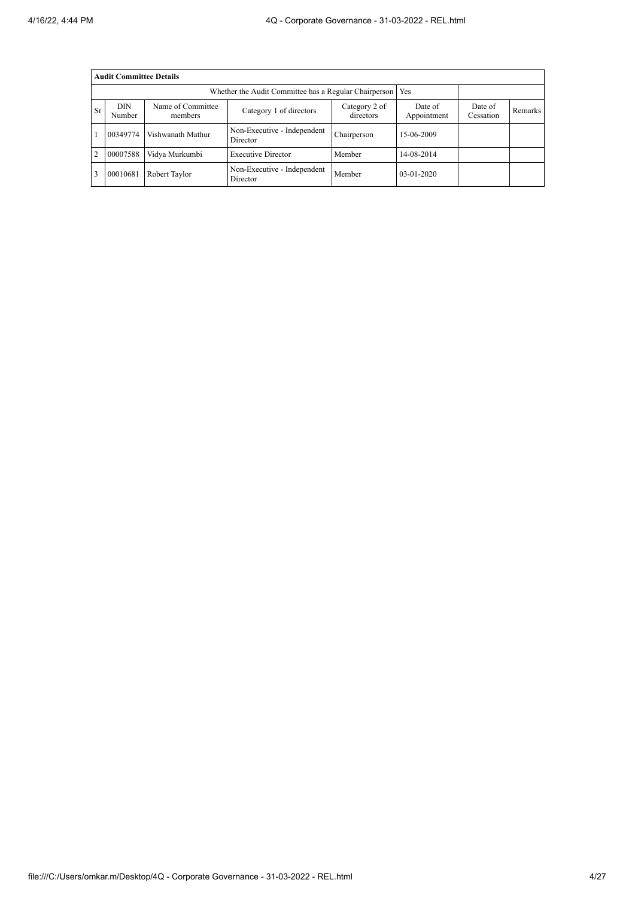|                | <b>Audit Committee Details</b>                               |                              |                                         |                            |                        |                      |                |  |  |  |  |  |
|----------------|--------------------------------------------------------------|------------------------------|-----------------------------------------|----------------------------|------------------------|----------------------|----------------|--|--|--|--|--|
|                | Whether the Audit Committee has a Regular Chairperson<br>Yes |                              |                                         |                            |                        |                      |                |  |  |  |  |  |
| <b>Sr</b>      | <b>DIN</b><br>Number                                         | Name of Committee<br>members | Category 1 of directors                 | Category 2 of<br>directors | Date of<br>Appointment | Date of<br>Cessation | <b>Remarks</b> |  |  |  |  |  |
|                | 00349774                                                     | Vishwanath Mathur            | Non-Executive - Independent<br>Director | Chairperson                | 15-06-2009             |                      |                |  |  |  |  |  |
| $\overline{2}$ | 00007588                                                     | Vidya Murkumbi               | <b>Executive Director</b>               | Member                     | 14-08-2014             |                      |                |  |  |  |  |  |
|                | 00010681                                                     | Robert Taylor                | Non-Executive - Independent<br>Director | Member                     | 03-01-2020             |                      |                |  |  |  |  |  |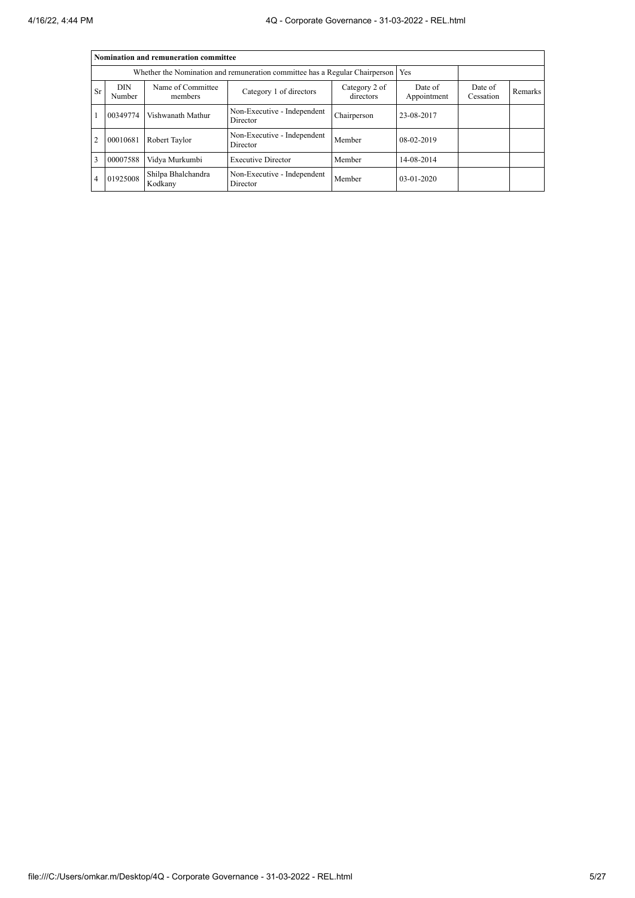|                |                                                                             | Nomination and remuneration committee |                                         |                |            |  |  |
|----------------|-----------------------------------------------------------------------------|---------------------------------------|-----------------------------------------|----------------|------------|--|--|
|                | Whether the Nomination and remuneration committee has a Regular Chairperson |                                       |                                         |                |            |  |  |
| <b>Sr</b>      | <b>DIN</b><br>Number                                                        | Date of<br>Appointment                | Date of<br>Cessation                    | <b>Remarks</b> |            |  |  |
|                | 00349774                                                                    | Vishwanath Mathur                     | Non-Executive - Independent<br>Director | Chairperson    | 23-08-2017 |  |  |
| 2              | 00010681                                                                    | Robert Taylor                         | Non-Executive - Independent<br>Director | Member         | 08-02-2019 |  |  |
| 3              | 00007588                                                                    | Vidya Murkumbi                        | <b>Executive Director</b>               | Member         | 14-08-2014 |  |  |
| $\overline{4}$ | 01925008                                                                    | Shilpa Bhalchandra<br>Kodkany         | Non-Executive - Independent<br>Director | Member         | 03-01-2020 |  |  |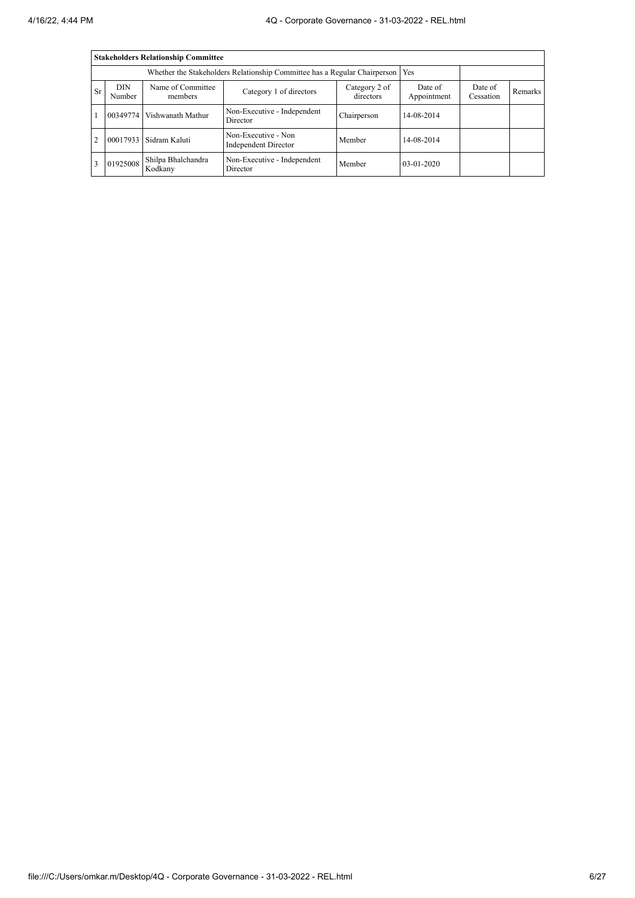|                                                                                 |                      | <b>Stakeholders Relationship Committee</b> |                                             |                      |              |  |  |  |  |  |
|---------------------------------------------------------------------------------|----------------------|--------------------------------------------|---------------------------------------------|----------------------|--------------|--|--|--|--|--|
| Whether the Stakeholders Relationship Committee has a Regular Chairperson   Yes |                      |                                            |                                             |                      |              |  |  |  |  |  |
| Sr                                                                              | <b>DIN</b><br>Number | Name of Committee<br>members               | Date of<br>Appointment                      | Date of<br>Cessation | Remarks      |  |  |  |  |  |
|                                                                                 |                      | 00349774   Vishwanath Mathur               | Non-Executive - Independent<br>Director     | Chairperson          | 14-08-2014   |  |  |  |  |  |
| $\overline{2}$                                                                  | 00017933             | Sidram Kaluti                              | Non-Executive - Non<br>Independent Director | Member               | 14-08-2014   |  |  |  |  |  |
| 3                                                                               | 01925008             | Shilpa Bhalchandra<br>Kodkany              | Non-Executive - Independent<br>Director     | Member               | $03-01-2020$ |  |  |  |  |  |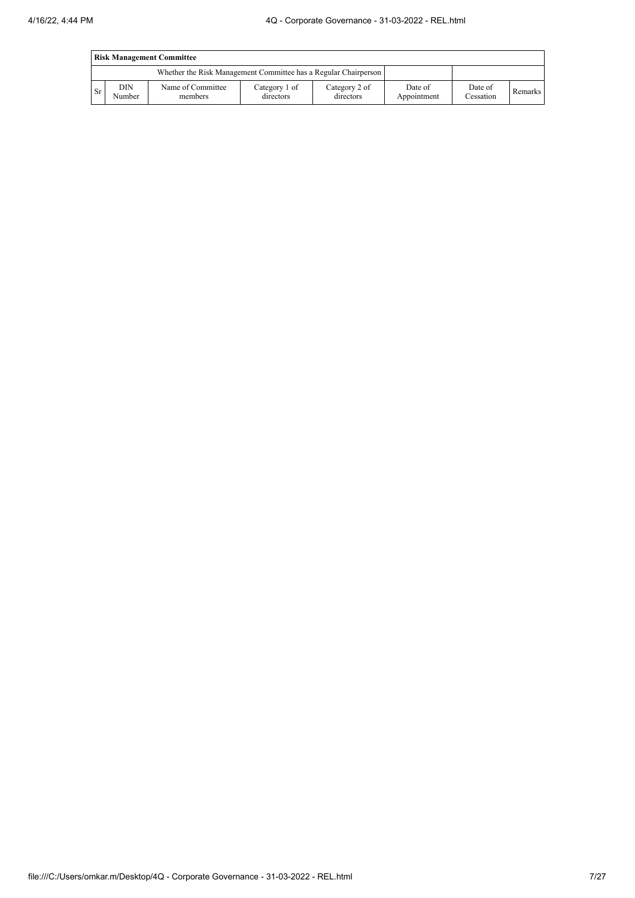|      | <b>Risk Management Committee</b> |                                                                 |                            |                            |                        |                      |         |  |  |  |  |  |
|------|----------------------------------|-----------------------------------------------------------------|----------------------------|----------------------------|------------------------|----------------------|---------|--|--|--|--|--|
|      |                                  | Whether the Risk Management Committee has a Regular Chairperson |                            |                            |                        |                      |         |  |  |  |  |  |
| l Sr | DIN<br>Number                    | Name of Committee<br>members                                    | Category 1 of<br>directors | Category 2 of<br>directors | Date of<br>Appointment | Date of<br>Cessation | Remarks |  |  |  |  |  |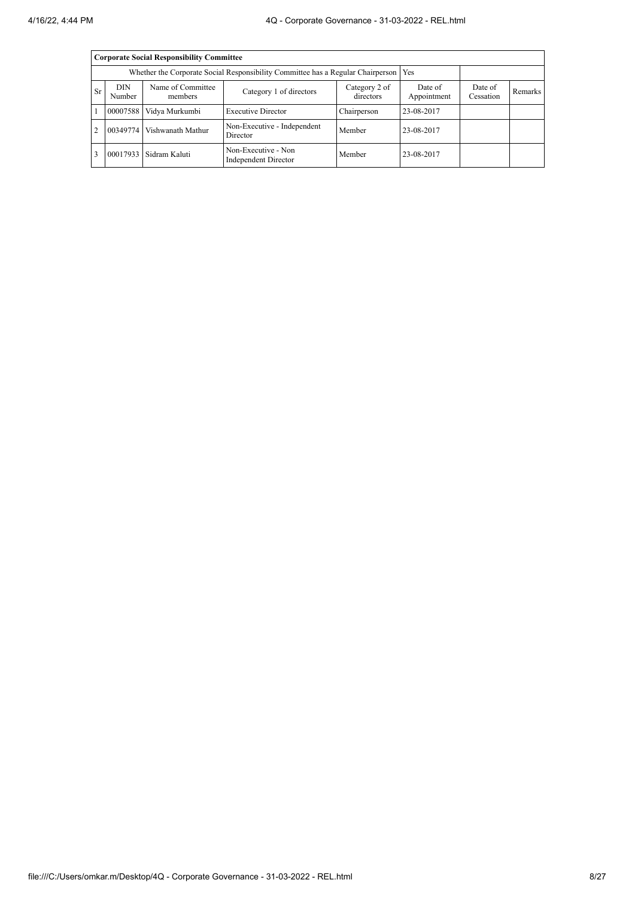|                | <b>Corporate Social Responsibility Committee</b>                                      |                              |                                                    |                            |                        |                      |         |  |  |  |  |  |
|----------------|---------------------------------------------------------------------------------------|------------------------------|----------------------------------------------------|----------------------------|------------------------|----------------------|---------|--|--|--|--|--|
|                | Whether the Corporate Social Responsibility Committee has a Regular Chairperson   Yes |                              |                                                    |                            |                        |                      |         |  |  |  |  |  |
| <b>Sr</b>      | DIN<br>Number                                                                         | Name of Committee<br>members | Category 1 of directors                            | Category 2 of<br>directors | Date of<br>Appointment | Date of<br>Cessation | Remarks |  |  |  |  |  |
|                |                                                                                       | 00007588   Vidya Murkumbi    | <b>Executive Director</b>                          | Chairperson                | 23-08-2017             |                      |         |  |  |  |  |  |
| $\overline{2}$ |                                                                                       | 00349774   Vishwanath Mathur | Non-Executive - Independent<br>Director            | Member                     | 23-08-2017             |                      |         |  |  |  |  |  |
| 3              |                                                                                       | 00017933 Sidram Kaluti       | Non-Executive - Non<br><b>Independent Director</b> | Member                     | 23-08-2017             |                      |         |  |  |  |  |  |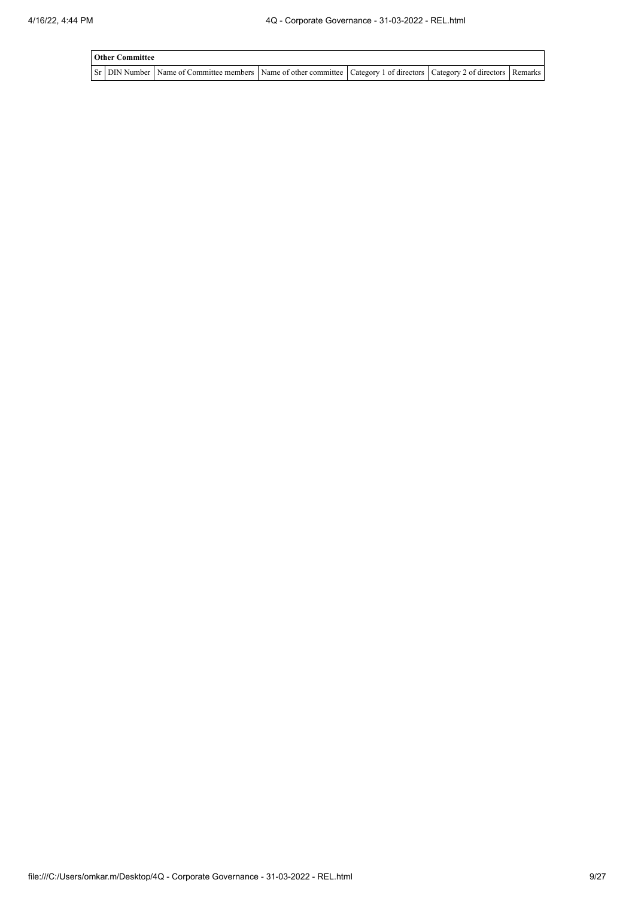| <b>Other Committee</b> |                                                                                                                                     |  |  |
|------------------------|-------------------------------------------------------------------------------------------------------------------------------------|--|--|
|                        | Sr   DIN Number   Name of Committee members   Name of other committee   Category 1 of directors   Category 2 of directors   Remarks |  |  |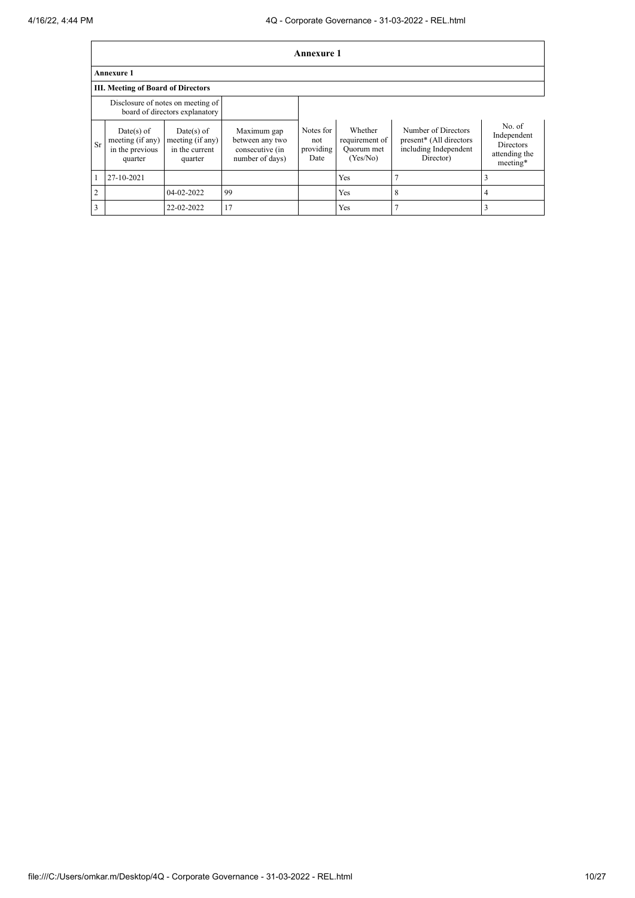|                | <b>Annexure 1</b>                                            |                                                                     |                                                                      |                                       |                                                     |                                                                                      |                                                                 |  |  |  |  |
|----------------|--------------------------------------------------------------|---------------------------------------------------------------------|----------------------------------------------------------------------|---------------------------------------|-----------------------------------------------------|--------------------------------------------------------------------------------------|-----------------------------------------------------------------|--|--|--|--|
|                | <b>Annexure 1</b>                                            |                                                                     |                                                                      |                                       |                                                     |                                                                                      |                                                                 |  |  |  |  |
|                | <b>III.</b> Meeting of Board of Directors                    |                                                                     |                                                                      |                                       |                                                     |                                                                                      |                                                                 |  |  |  |  |
|                |                                                              | Disclosure of notes on meeting of<br>board of directors explanatory |                                                                      |                                       |                                                     |                                                                                      |                                                                 |  |  |  |  |
| Sr             | Date(s) of<br>meeting (if any)<br>in the previous<br>quarter | $Date(s)$ of<br>meeting (if any)<br>in the current<br>quarter       | Maximum gap<br>between any two<br>consecutive (in<br>number of days) | Notes for<br>not<br>providing<br>Date | Whether<br>requirement of<br>Quorum met<br>(Yes/No) | Number of Directors<br>present* (All directors<br>including Independent<br>Director) | No. of<br>Independent<br>Directors<br>attending the<br>meeting* |  |  |  |  |
|                | 27-10-2021                                                   |                                                                     |                                                                      |                                       | Yes                                                 | Ξ                                                                                    |                                                                 |  |  |  |  |
| $\overline{2}$ |                                                              | 04-02-2022                                                          | 99                                                                   |                                       | Yes                                                 | 8                                                                                    | 4                                                               |  |  |  |  |
| 3              |                                                              | 22-02-2022                                                          | 17                                                                   |                                       | Yes                                                 |                                                                                      |                                                                 |  |  |  |  |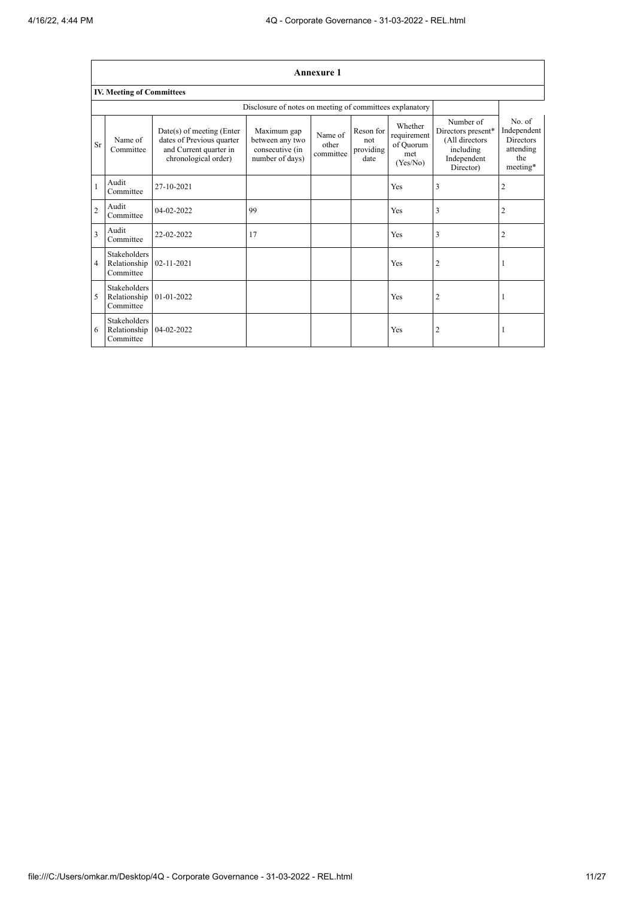|                |                                                          |                                                                                                          |                                                                      | <b>Annexure 1</b>             |                                       |                                                        |                                                                                            |                                                                           |  |  |  |  |  |
|----------------|----------------------------------------------------------|----------------------------------------------------------------------------------------------------------|----------------------------------------------------------------------|-------------------------------|---------------------------------------|--------------------------------------------------------|--------------------------------------------------------------------------------------------|---------------------------------------------------------------------------|--|--|--|--|--|
|                | <b>IV. Meeting of Committees</b>                         |                                                                                                          |                                                                      |                               |                                       |                                                        |                                                                                            |                                                                           |  |  |  |  |  |
|                | Disclosure of notes on meeting of committees explanatory |                                                                                                          |                                                                      |                               |                                       |                                                        |                                                                                            |                                                                           |  |  |  |  |  |
| <b>Sr</b>      | Name of<br>Committee                                     | Date(s) of meeting (Enter<br>dates of Previous quarter<br>and Current quarter in<br>chronological order) | Maximum gap<br>between any two<br>consecutive (in<br>number of days) | Name of<br>other<br>committee | Reson for<br>not<br>providing<br>date | Whether<br>requirement<br>of Quorum<br>met<br>(Yes/No) | Number of<br>Directors present*<br>(All directors<br>including<br>Independent<br>Director) | No. of<br>Independent<br><b>Directors</b><br>attending<br>the<br>meeting* |  |  |  |  |  |
| $\mathbf{1}$   | Audit<br>Committee                                       | 27-10-2021                                                                                               |                                                                      |                               |                                       | Yes                                                    | 3                                                                                          | 2                                                                         |  |  |  |  |  |
| $\overline{2}$ | Audit<br>Committee                                       | 04-02-2022                                                                                               | 99                                                                   |                               |                                       | Yes                                                    | 3                                                                                          | 2                                                                         |  |  |  |  |  |
| 3              | Audit<br>Committee                                       | 22-02-2022                                                                                               | 17                                                                   |                               |                                       | Yes                                                    | 3                                                                                          | 2                                                                         |  |  |  |  |  |
| 4              | <b>Stakeholders</b><br>Relationship<br>Committee         | 02-11-2021                                                                                               |                                                                      |                               |                                       | Yes                                                    | $\overline{2}$                                                                             |                                                                           |  |  |  |  |  |
| 5              | <b>Stakeholders</b><br>Relationship<br>Committee         | 01-01-2022                                                                                               |                                                                      |                               |                                       | Yes                                                    | $\overline{2}$                                                                             |                                                                           |  |  |  |  |  |
| 6              | <b>Stakeholders</b><br>Relationship<br>Committee         | 04-02-2022                                                                                               |                                                                      |                               |                                       | Yes                                                    | $\overline{2}$                                                                             |                                                                           |  |  |  |  |  |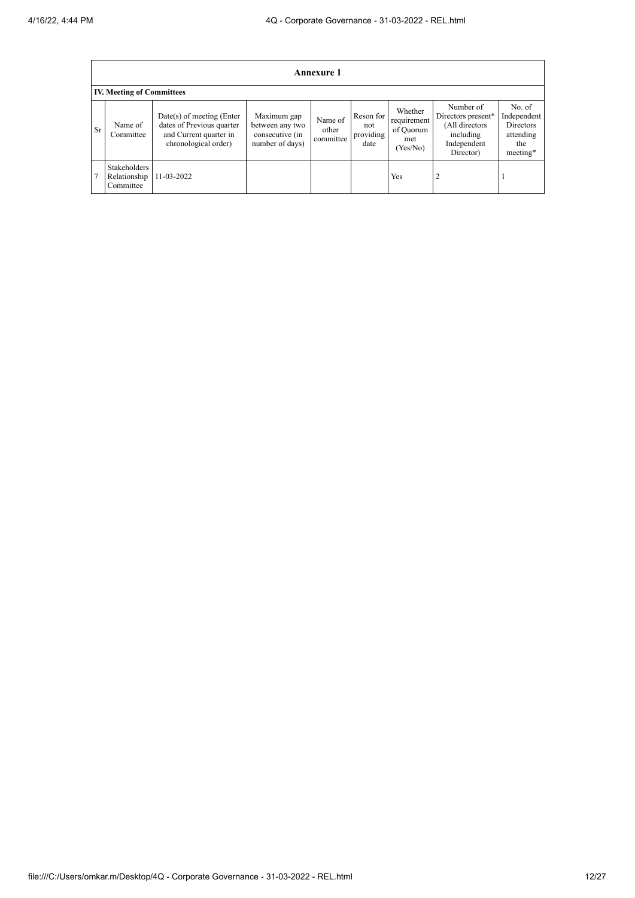|           |                                           |                                                                                                            |                                                                      | <b>Annexure 1</b>             |                                       |                                                       |                                                                                            |                                                                           |
|-----------|-------------------------------------------|------------------------------------------------------------------------------------------------------------|----------------------------------------------------------------------|-------------------------------|---------------------------------------|-------------------------------------------------------|--------------------------------------------------------------------------------------------|---------------------------------------------------------------------------|
|           | <b>IV. Meeting of Committees</b>          |                                                                                                            |                                                                      |                               |                                       |                                                       |                                                                                            |                                                                           |
| <b>Sr</b> | Name of<br>Committee                      | $Date(s)$ of meeting (Enter<br>dates of Previous quarter<br>and Current quarter in<br>chronological order) | Maximum gap<br>between any two<br>consecutive (in<br>number of days) | Name of<br>other<br>committee | Reson for<br>not<br>providing<br>date | Whether<br>requirement<br>of Quorum<br>met<br>Yes/No) | Number of<br>Directors present*<br>(All directors<br>including<br>Independent<br>Director) | No. of<br>Independent<br><b>Directors</b><br>attending<br>the<br>meeting* |
| 7         | Stakeholders<br>Relationship<br>Committee | 11-03-2022                                                                                                 |                                                                      |                               |                                       | Yes                                                   | 2                                                                                          |                                                                           |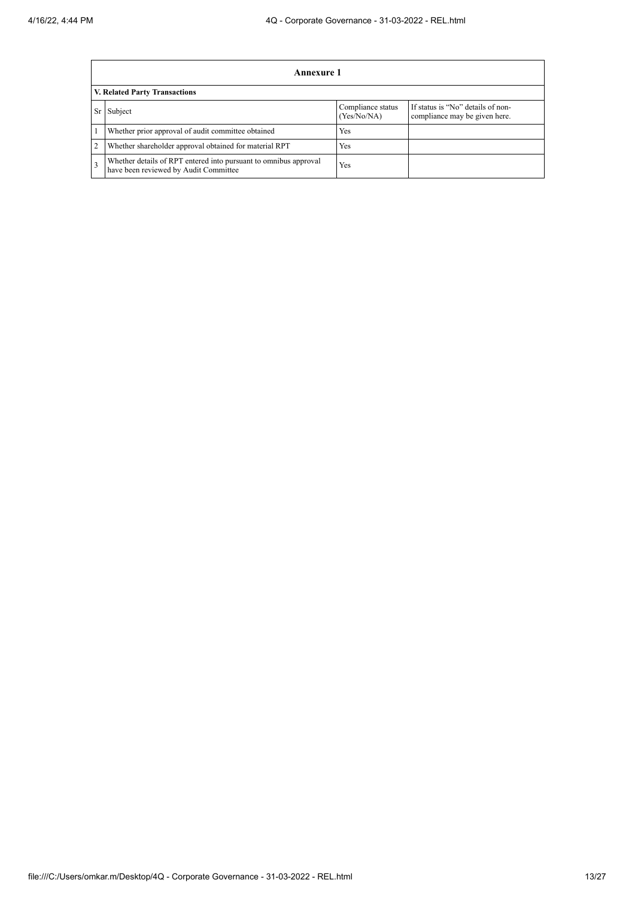|                | <b>Annexure 1</b>                                                                                         |                                  |                                                                    |  |  |
|----------------|-----------------------------------------------------------------------------------------------------------|----------------------------------|--------------------------------------------------------------------|--|--|
|                | V. Related Party Transactions                                                                             |                                  |                                                                    |  |  |
| Sr             | Subject                                                                                                   | Compliance status<br>(Yes/No/NA) | If status is "No" details of non-<br>compliance may be given here. |  |  |
|                | Whether prior approval of audit committee obtained                                                        | Yes                              |                                                                    |  |  |
| $\overline{2}$ | Whether shareholder approval obtained for material RPT                                                    | Yes                              |                                                                    |  |  |
| 3              | Whether details of RPT entered into pursuant to omnibus approval<br>have been reviewed by Audit Committee | Yes                              |                                                                    |  |  |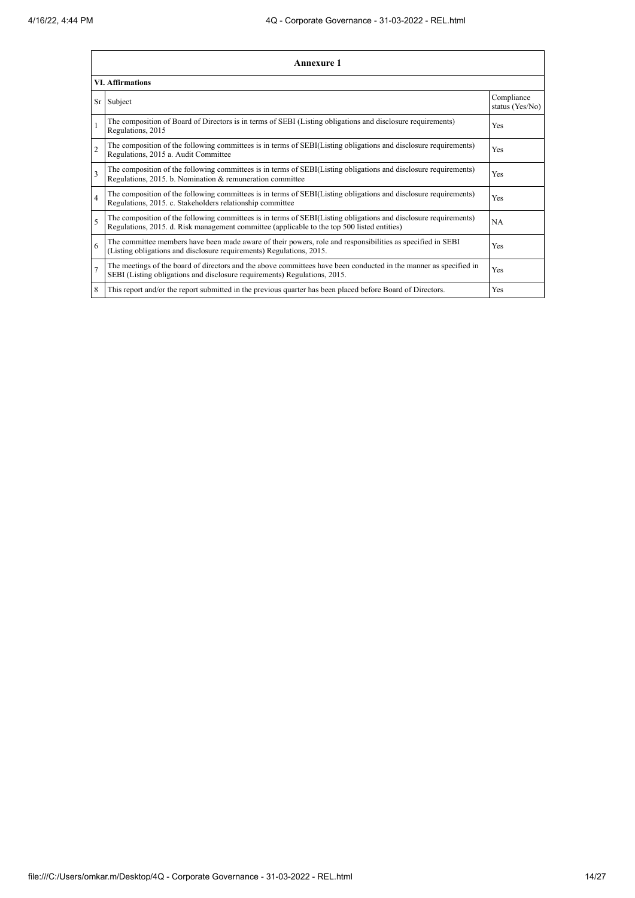|                | Annexure 1                                                                                                                                                                                                      |                               |  |  |
|----------------|-----------------------------------------------------------------------------------------------------------------------------------------------------------------------------------------------------------------|-------------------------------|--|--|
|                | <b>VI. Affirmations</b>                                                                                                                                                                                         |                               |  |  |
|                | Sr Subject                                                                                                                                                                                                      | Compliance<br>status (Yes/No) |  |  |
| 1              | The composition of Board of Directors is in terms of SEBI (Listing obligations and disclosure requirements)<br>Regulations, 2015                                                                                | Yes                           |  |  |
| $\overline{c}$ | The composition of the following committees is in terms of SEBI(Listing obligations and disclosure requirements)<br>Regulations, 2015 a. Audit Committee                                                        | Yes                           |  |  |
| 3              | The composition of the following committees is in terms of SEBI(Listing obligations and disclosure requirements)<br>Regulations, 2015. b. Nomination & remuneration committee                                   | Yes                           |  |  |
| 4              | The composition of the following committees is in terms of SEBI(Listing obligations and disclosure requirements)<br>Regulations, 2015. c. Stakeholders relationship committee                                   | Yes                           |  |  |
| 5              | The composition of the following committees is in terms of SEBI(Listing obligations and disclosure requirements)<br>Regulations, 2015. d. Risk management committee (applicable to the top 500 listed entities) | <b>NA</b>                     |  |  |
| 6              | The committee members have been made aware of their powers, role and responsibilities as specified in SEBI<br>(Listing obligations and disclosure requirements) Regulations, 2015.                              | Yes                           |  |  |
| 7              | The meetings of the board of directors and the above committees have been conducted in the manner as specified in<br>SEBI (Listing obligations and disclosure requirements) Regulations, 2015.                  | Yes                           |  |  |
| 8              | This report and/or the report submitted in the previous quarter has been placed before Board of Directors.                                                                                                      | Yes                           |  |  |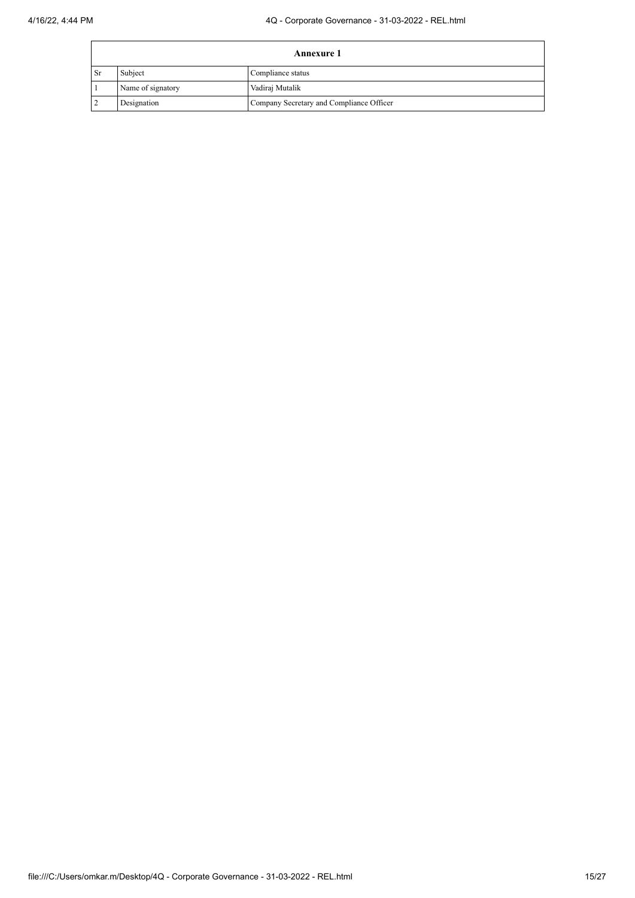|                |                   | <b>Annexure 1</b>                        |
|----------------|-------------------|------------------------------------------|
| <b>Sr</b>      | Subject           | Compliance status                        |
|                | Name of signatory | Vadiraj Mutalik                          |
| $\overline{2}$ | Designation       | Company Secretary and Compliance Officer |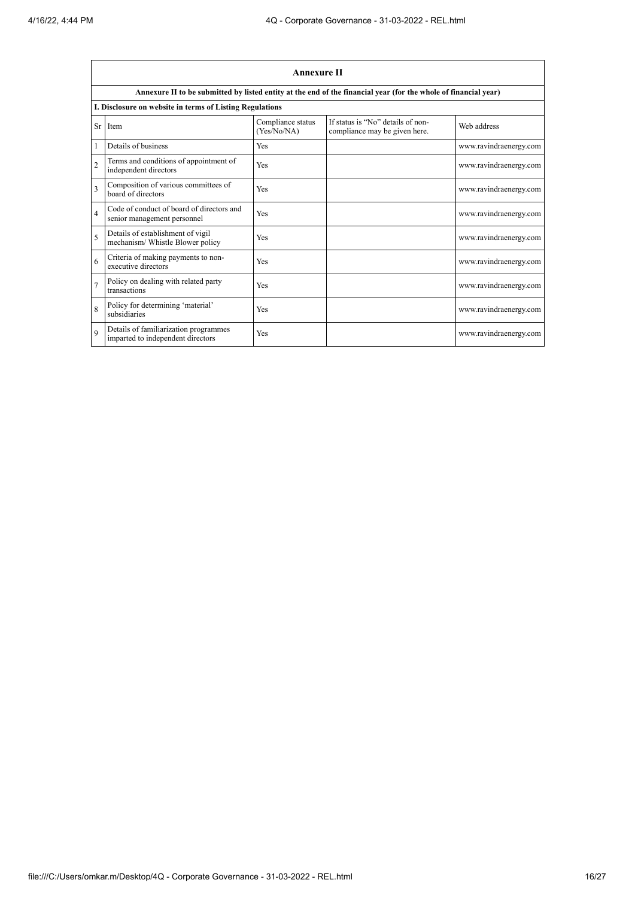F

|                | <b>Annexure II</b>                                                                                              |                                  |                                                                    |                        |  |
|----------------|-----------------------------------------------------------------------------------------------------------------|----------------------------------|--------------------------------------------------------------------|------------------------|--|
|                | Annexure II to be submitted by listed entity at the end of the financial year (for the whole of financial year) |                                  |                                                                    |                        |  |
|                | I. Disclosure on website in terms of Listing Regulations                                                        |                                  |                                                                    |                        |  |
| Sr             | Item                                                                                                            | Compliance status<br>(Yes/No/NA) | If status is "No" details of non-<br>compliance may be given here. | Web address            |  |
|                | Details of business                                                                                             | Yes                              |                                                                    | www.ravindraenergy.com |  |
| $\overline{2}$ | Terms and conditions of appointment of<br>independent directors                                                 | Yes                              |                                                                    | www.ravindraenergy.com |  |
| 3              | Composition of various committees of<br>board of directors                                                      | Yes                              |                                                                    | www.ravindraenergy.com |  |
| $\overline{4}$ | Code of conduct of board of directors and<br>senior management personnel                                        | Yes                              |                                                                    | www.ravindraenergy.com |  |
| 5              | Details of establishment of vigil<br>mechanism/ Whistle Blower policy                                           | Yes                              |                                                                    | www.ravindraenergy.com |  |
| 6              | Criteria of making payments to non-<br>executive directors                                                      | Yes                              |                                                                    | www.ravindraenergy.com |  |
| $\overline{7}$ | Policy on dealing with related party<br>transactions                                                            | Yes                              |                                                                    | www.ravindraenergy.com |  |
| 8              | Policy for determining 'material'<br>subsidiaries                                                               | Yes                              |                                                                    | www.ravindraenergy.com |  |
| $\mathbf Q$    | Details of familiarization programmes<br>imparted to independent directors                                      | Yes                              |                                                                    | www.ravindraenergy.com |  |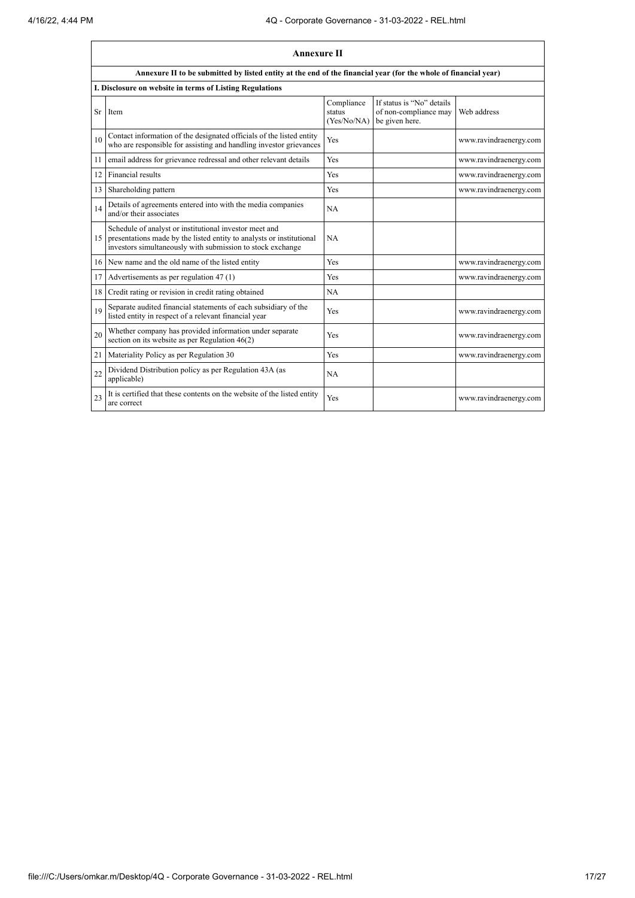|    | <b>Annexure II</b>                                                                                                                                                                           |                                     |                                                                      |                        |  |
|----|----------------------------------------------------------------------------------------------------------------------------------------------------------------------------------------------|-------------------------------------|----------------------------------------------------------------------|------------------------|--|
|    | Annexure II to be submitted by listed entity at the end of the financial year (for the whole of financial year)                                                                              |                                     |                                                                      |                        |  |
|    | I. Disclosure on website in terms of Listing Regulations                                                                                                                                     |                                     |                                                                      |                        |  |
| Sr | Item                                                                                                                                                                                         | Compliance<br>status<br>(Yes/No/NA) | If status is "No" details<br>of non-compliance may<br>be given here. | Web address            |  |
| 10 | Contact information of the designated officials of the listed entity<br>who are responsible for assisting and handling investor grievances                                                   | Yes                                 |                                                                      | www.ravindraenergy.com |  |
| 11 | email address for grievance redressal and other relevant details                                                                                                                             | Yes                                 |                                                                      | www.ravindraenergy.com |  |
| 12 | Financial results                                                                                                                                                                            | Yes                                 |                                                                      | www.ravindraenergy.com |  |
| 13 | Shareholding pattern                                                                                                                                                                         | Yes                                 |                                                                      | www.ravindraenergy.com |  |
| 14 | Details of agreements entered into with the media companies<br>and/or their associates                                                                                                       | <b>NA</b>                           |                                                                      |                        |  |
| 15 | Schedule of analyst or institutional investor meet and<br>presentations made by the listed entity to analysts or institutional<br>investors simultaneously with submission to stock exchange | <b>NA</b>                           |                                                                      |                        |  |
| 16 | New name and the old name of the listed entity                                                                                                                                               | Yes                                 |                                                                      | www.ravindraenergy.com |  |
| 17 | Advertisements as per regulation 47 (1)                                                                                                                                                      | Yes                                 |                                                                      | www.ravindraenergy.com |  |
| 18 | Credit rating or revision in credit rating obtained                                                                                                                                          | NA                                  |                                                                      |                        |  |
| 19 | Separate audited financial statements of each subsidiary of the<br>listed entity in respect of a relevant financial year                                                                     | Yes                                 |                                                                      | www.ravindraenergy.com |  |
| 20 | Whether company has provided information under separate<br>section on its website as per Regulation $46(2)$                                                                                  | Yes                                 |                                                                      | www.ravindraenergy.com |  |
| 21 | Materiality Policy as per Regulation 30                                                                                                                                                      | Yes                                 |                                                                      | www.ravindraenergy.com |  |
| 22 | Dividend Distribution policy as per Regulation 43A (as<br>applicable)                                                                                                                        | NA                                  |                                                                      |                        |  |
| 23 | It is certified that these contents on the website of the listed entity<br>are correct                                                                                                       | Yes                                 |                                                                      | www.ravindraenergy.com |  |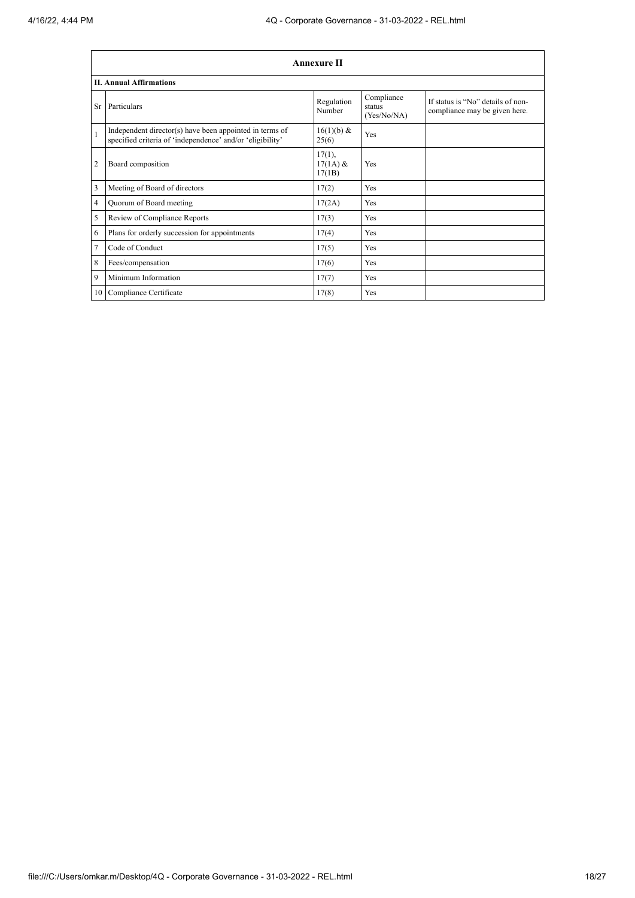|                |                                                                                                                      | <b>Annexure II</b>                |                                     |                                                                    |
|----------------|----------------------------------------------------------------------------------------------------------------------|-----------------------------------|-------------------------------------|--------------------------------------------------------------------|
|                | <b>II. Annual Affirmations</b>                                                                                       |                                   |                                     |                                                                    |
| Sr.            | Particulars                                                                                                          | Regulation<br>Number              | Compliance<br>status<br>(Yes/No/NA) | If status is "No" details of non-<br>compliance may be given here. |
| $\mathbf{1}$   | Independent director(s) have been appointed in terms of<br>specified criteria of 'independence' and/or 'eligibility' | 16(1)(b) &<br>25(6)               | Yes                                 |                                                                    |
| $\overline{2}$ | Board composition                                                                                                    | $17(1)$ ,<br>$17(1A)$ &<br>17(1B) | Yes                                 |                                                                    |
| 3              | Meeting of Board of directors                                                                                        | 17(2)                             | Yes                                 |                                                                    |
| $\overline{4}$ | Quorum of Board meeting                                                                                              | 17(2A)                            | Yes                                 |                                                                    |
| 5              | Review of Compliance Reports                                                                                         | 17(3)                             | <b>Yes</b>                          |                                                                    |
| 6              | Plans for orderly succession for appointments                                                                        | 17(4)                             | <b>Yes</b>                          |                                                                    |
| $\overline{7}$ | Code of Conduct                                                                                                      | 17(5)                             | Yes                                 |                                                                    |
| 8              | Fees/compensation                                                                                                    | 17(6)                             | Yes                                 |                                                                    |
| 9              | Minimum Information                                                                                                  | 17(7)                             | Yes                                 |                                                                    |
| 10             | Compliance Certificate                                                                                               | 17(8)                             | Yes                                 |                                                                    |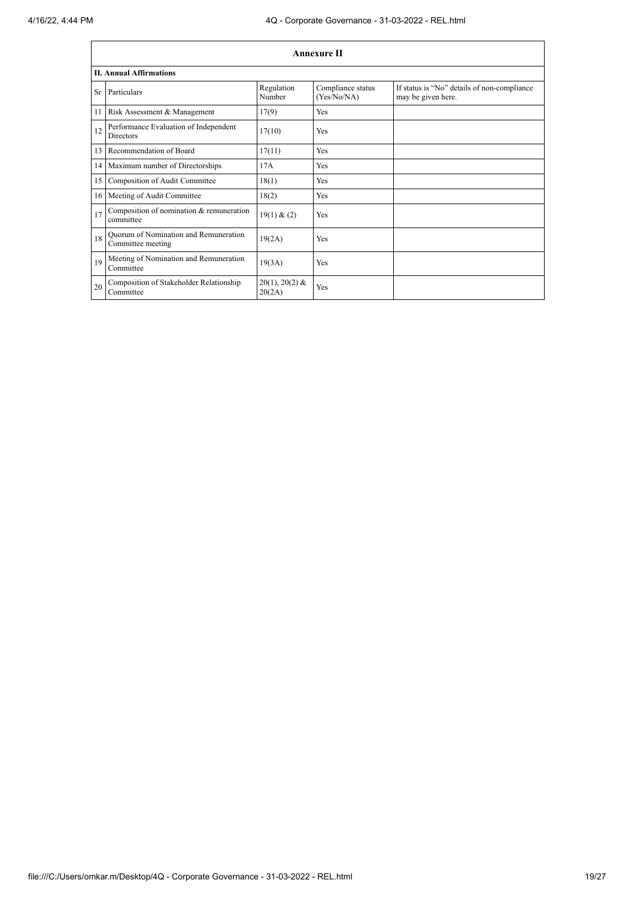|    | <b>Annexure II</b>                                         |                            |                                  |                                                                   |  |
|----|------------------------------------------------------------|----------------------------|----------------------------------|-------------------------------------------------------------------|--|
|    | <b>II. Annual Affirmations</b>                             |                            |                                  |                                                                   |  |
| Sr | Particulars                                                | Regulation<br>Number       | Compliance status<br>(Yes/No/NA) | If status is "No" details of non-compliance<br>may be given here. |  |
|    | 11 Risk Assessment & Management                            | 17(9)                      | Yes                              |                                                                   |  |
| 12 | Performance Evaluation of Independent<br>Directors         | 17(10)                     | Yes                              |                                                                   |  |
| 13 | Recommendation of Board                                    | 17(11)                     | Yes                              |                                                                   |  |
|    | 14 Maximum number of Directorships                         | 17A                        | Yes                              |                                                                   |  |
| 15 | Composition of Audit Committee                             | 18(1)                      | Yes                              |                                                                   |  |
|    | 16 Meeting of Audit Committee                              | 18(2)                      | Yes                              |                                                                   |  |
| 17 | Composition of nomination & remuneration<br>committee      | 19(1) & (2)                | Yes                              |                                                                   |  |
| 18 | Quorum of Nomination and Remuneration<br>Committee meeting | 19(2A)                     | Yes                              |                                                                   |  |
| 19 | Meeting of Nomination and Remuneration<br>Committee        | 19(3A)                     | Yes                              |                                                                   |  |
| 20 | Composition of Stakeholder Relationship<br>Committee       | $20(1), 20(2)$ &<br>20(2A) | Yes                              |                                                                   |  |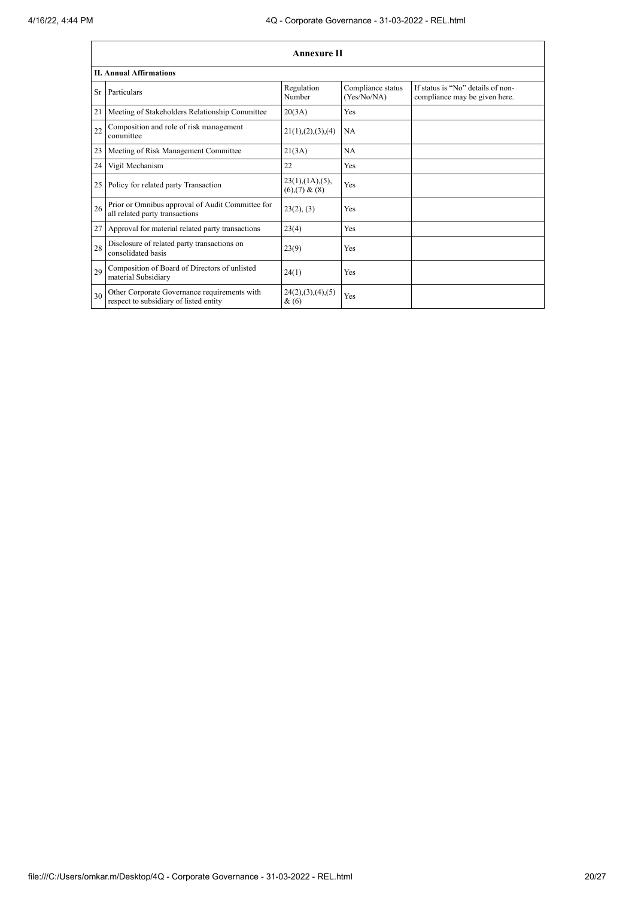|    | <b>Annexure II</b>                                                                     |                                                     |                                  |                                                                    |  |
|----|----------------------------------------------------------------------------------------|-----------------------------------------------------|----------------------------------|--------------------------------------------------------------------|--|
|    | <b>II. Annual Affirmations</b>                                                         |                                                     |                                  |                                                                    |  |
| Sr | Particulars                                                                            | Regulation<br>Number                                | Compliance status<br>(Yes/No/NA) | If status is "No" details of non-<br>compliance may be given here. |  |
| 21 | Meeting of Stakeholders Relationship Committee                                         | 20(3A)                                              | Yes                              |                                                                    |  |
| 22 | Composition and role of risk management<br>committee                                   | 21(1), (2), (3), (4)                                | <b>NA</b>                        |                                                                    |  |
| 23 | Meeting of Risk Management Committee                                                   | 21(3A)                                              | <b>NA</b>                        |                                                                    |  |
| 24 | Vigil Mechanism                                                                        | 22                                                  | Yes                              |                                                                    |  |
| 25 | Policy for related party Transaction                                                   | $23(1)$ , $(1A)$ , $(5)$ ,<br>$(6)$ , $(7)$ & $(8)$ | Yes                              |                                                                    |  |
| 26 | Prior or Omnibus approval of Audit Committee for<br>all related party transactions     | 23(2), (3)                                          | Yes                              |                                                                    |  |
| 27 | Approval for material related party transactions                                       | 23(4)                                               | Yes                              |                                                                    |  |
| 28 | Disclosure of related party transactions on<br>consolidated basis                      | 23(9)                                               | Yes                              |                                                                    |  |
| 29 | Composition of Board of Directors of unlisted<br>material Subsidiary                   | 24(1)                                               | Yes                              |                                                                    |  |
| 30 | Other Corporate Governance requirements with<br>respect to subsidiary of listed entity | 24(2),(3),(4),(5)<br>$\&(6)$                        | Yes                              |                                                                    |  |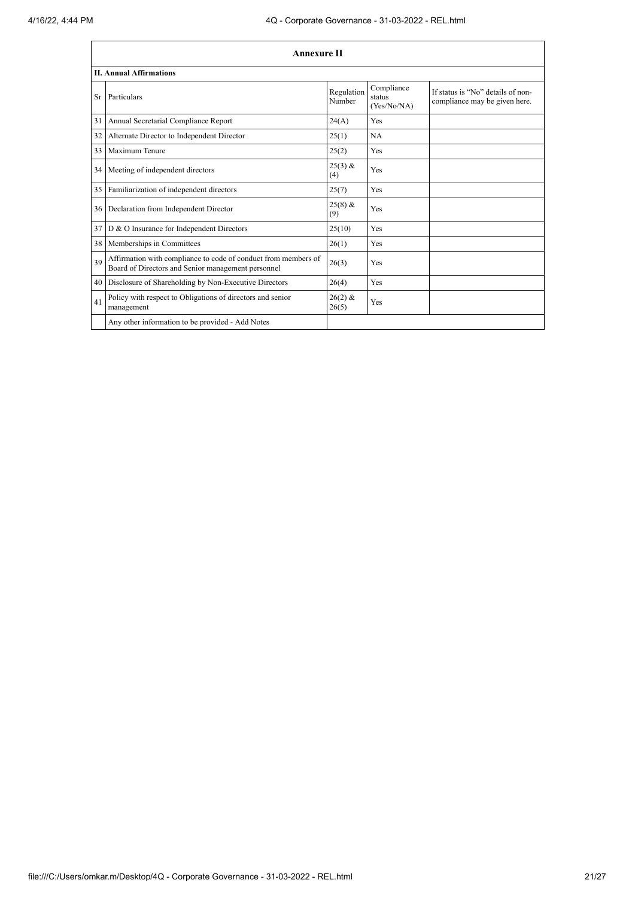|    | <b>Annexure II</b>                                                                                                   |                      |                                     |                                                                    |
|----|----------------------------------------------------------------------------------------------------------------------|----------------------|-------------------------------------|--------------------------------------------------------------------|
|    | <b>II. Annual Affirmations</b>                                                                                       |                      |                                     |                                                                    |
| Sr | Particulars                                                                                                          | Regulation<br>Number | Compliance<br>status<br>(Yes/No/NA) | If status is "No" details of non-<br>compliance may be given here. |
| 31 | Annual Secretarial Compliance Report                                                                                 | 24(A)                | Yes                                 |                                                                    |
| 32 | Alternate Director to Independent Director                                                                           | 25(1)                | NA                                  |                                                                    |
| 33 | Maximum Tenure                                                                                                       | 25(2)                | Yes                                 |                                                                    |
| 34 | Meeting of independent directors                                                                                     | $25(3)$ &<br>(4)     | Yes                                 |                                                                    |
| 35 | Familiarization of independent directors                                                                             | 25(7)                | Yes                                 |                                                                    |
| 36 | Declaration from Independent Director                                                                                | $25(8)$ &<br>(9)     | Yes                                 |                                                                    |
| 37 | D & O Insurance for Independent Directors                                                                            | 25(10)               | Yes                                 |                                                                    |
| 38 | Memberships in Committees                                                                                            | 26(1)                | <b>Yes</b>                          |                                                                    |
| 39 | Affirmation with compliance to code of conduct from members of<br>Board of Directors and Senior management personnel | 26(3)                | Yes                                 |                                                                    |
| 40 | Disclosure of Shareholding by Non-Executive Directors                                                                | 26(4)                | Yes                                 |                                                                    |
| 41 | Policy with respect to Obligations of directors and senior<br>management                                             | $26(2)$ &<br>26(5)   | Yes                                 |                                                                    |
|    | Any other information to be provided - Add Notes                                                                     |                      |                                     |                                                                    |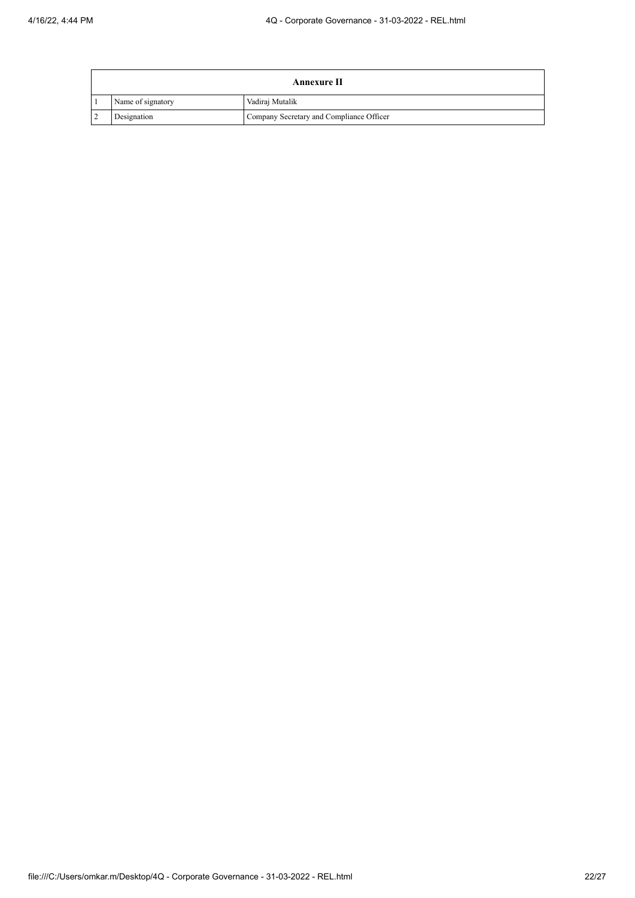|                   | Annexure II                              |
|-------------------|------------------------------------------|
| Name of signatory | Vadiraj Mutalik                          |
| Designation       | Company Secretary and Compliance Officer |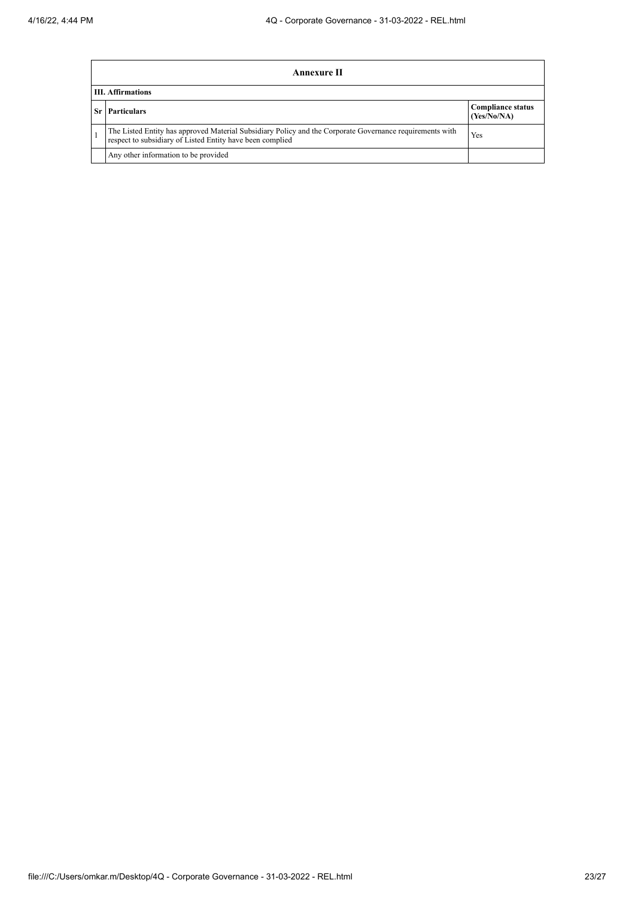| Annexure II                                                                                                                                                           |                                         |
|-----------------------------------------------------------------------------------------------------------------------------------------------------------------------|-----------------------------------------|
| <b>III.</b> Affirmations                                                                                                                                              |                                         |
| <b>Particulars</b>                                                                                                                                                    | <b>Compliance status</b><br>(Yes/No/NA) |
| The Listed Entity has approved Material Subsidiary Policy and the Corporate Governance requirements with<br>respect to subsidiary of Listed Entity have been complied | Yes                                     |
| Any other information to be provided                                                                                                                                  |                                         |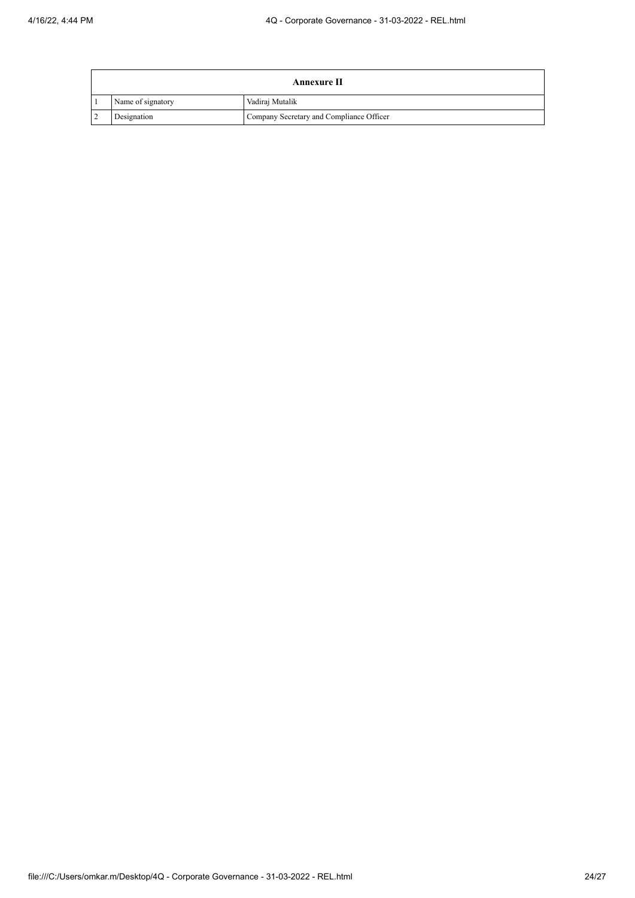| Annexure II |                   |                                          |  |  |
|-------------|-------------------|------------------------------------------|--|--|
|             | Name of signatory | Vadiraj Mutalik                          |  |  |
|             | Designation       | Company Secretary and Compliance Officer |  |  |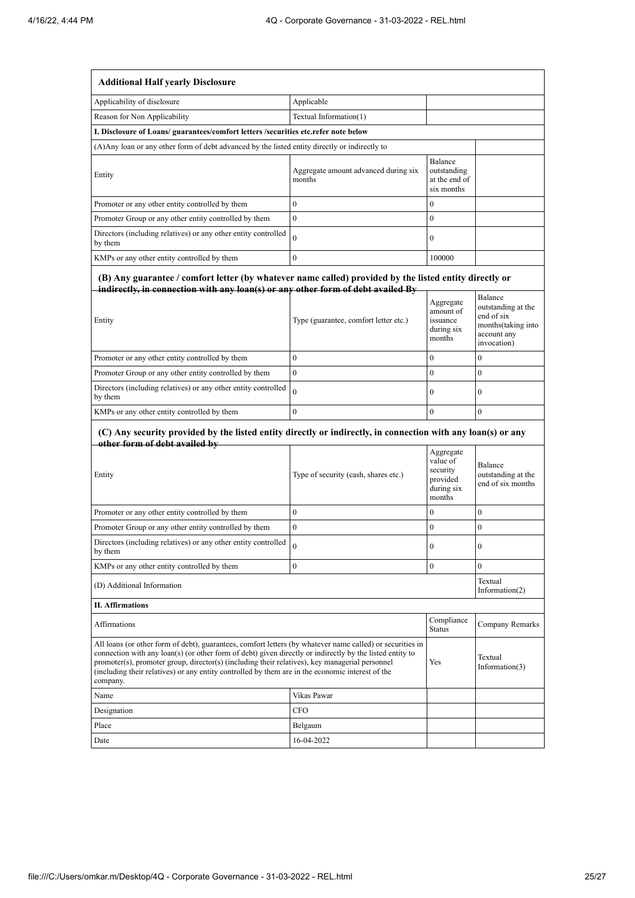| <b>Additional Half yearly Disclosure</b>                                                                                                                                                                                                                                                                                                                                                                                                |                                                |                                                                       |                                                                |  |
|-----------------------------------------------------------------------------------------------------------------------------------------------------------------------------------------------------------------------------------------------------------------------------------------------------------------------------------------------------------------------------------------------------------------------------------------|------------------------------------------------|-----------------------------------------------------------------------|----------------------------------------------------------------|--|
| Applicability of disclosure                                                                                                                                                                                                                                                                                                                                                                                                             | Applicable                                     |                                                                       |                                                                |  |
| Reason for Non Applicability                                                                                                                                                                                                                                                                                                                                                                                                            | Textual Information(1)                         |                                                                       |                                                                |  |
| I. Disclosure of Loans/ guarantees/comfort letters /securities etc.refer note below                                                                                                                                                                                                                                                                                                                                                     |                                                |                                                                       |                                                                |  |
| (A) Any loan or any other form of debt advanced by the listed entity directly or indirectly to                                                                                                                                                                                                                                                                                                                                          |                                                |                                                                       |                                                                |  |
| Entity                                                                                                                                                                                                                                                                                                                                                                                                                                  | Aggregate amount advanced during six<br>months | Balance<br>outstanding<br>at the end of<br>six months                 |                                                                |  |
| Promoter or any other entity controlled by them                                                                                                                                                                                                                                                                                                                                                                                         | $\mathbf{0}$                                   | $\bf{0}$                                                              |                                                                |  |
| Promoter Group or any other entity controlled by them                                                                                                                                                                                                                                                                                                                                                                                   | $\boldsymbol{0}$                               | $\boldsymbol{0}$                                                      |                                                                |  |
| Directors (including relatives) or any other entity controlled<br>by them                                                                                                                                                                                                                                                                                                                                                               | $\mathbf{0}$                                   | $\boldsymbol{0}$                                                      |                                                                |  |
| KMPs or any other entity controlled by them                                                                                                                                                                                                                                                                                                                                                                                             | $\mathbf{0}$                                   | 100000                                                                |                                                                |  |
| (B) Any guarantee / comfort letter (by whatever name called) provided by the listed entity directly or<br>indirectly, in connection with any loan(s) or any other form of debt availed By                                                                                                                                                                                                                                               |                                                | Aggregate<br>amount of                                                | Balance<br>outstanding at the                                  |  |
| Entity                                                                                                                                                                                                                                                                                                                                                                                                                                  | Type (guarantee, comfort letter etc.)          | issuance<br>during six<br>months                                      | end of six<br>months(taking into<br>account any<br>invocation) |  |
| Promoter or any other entity controlled by them                                                                                                                                                                                                                                                                                                                                                                                         | $\mathbf{0}$                                   | $\mathbf{0}$                                                          | $\mathbf{0}$                                                   |  |
| Promoter Group or any other entity controlled by them                                                                                                                                                                                                                                                                                                                                                                                   | $\boldsymbol{0}$                               | $\mathbf{0}$                                                          | $\overline{0}$                                                 |  |
| Directors (including relatives) or any other entity controlled<br>by them                                                                                                                                                                                                                                                                                                                                                               | $\theta$                                       | $\mathbf{0}$                                                          | $\mathbf{0}$                                                   |  |
| KMPs or any other entity controlled by them                                                                                                                                                                                                                                                                                                                                                                                             | $\boldsymbol{0}$                               | $\bf{0}$                                                              | $\overline{0}$                                                 |  |
| (C) Any security provided by the listed entity directly or indirectly, in connection with any loan(s) or any<br>other form of debt availed by                                                                                                                                                                                                                                                                                           |                                                |                                                                       |                                                                |  |
| Entity                                                                                                                                                                                                                                                                                                                                                                                                                                  | Type of security (cash, shares etc.)           | Aggregate<br>value of<br>security<br>provided<br>during six<br>months | Balance<br>outstanding at the<br>end of six months             |  |
| Promoter or any other entity controlled by them                                                                                                                                                                                                                                                                                                                                                                                         | $\theta$                                       | $\mathbf{0}$                                                          | $\overline{0}$                                                 |  |
| Promoter Group or any other entity controlled by them                                                                                                                                                                                                                                                                                                                                                                                   | $\boldsymbol{0}$                               | 0                                                                     | 0                                                              |  |
| Directors (including relatives) or any other entity controlled<br>by them                                                                                                                                                                                                                                                                                                                                                               | $\theta$                                       | $\boldsymbol{0}$                                                      | $\boldsymbol{0}$                                               |  |
| KMPs or any other entity controlled by them                                                                                                                                                                                                                                                                                                                                                                                             | $\boldsymbol{0}$                               | $\boldsymbol{0}$                                                      | $\overline{0}$                                                 |  |
| Textual<br>(D) Additional Information<br>Information(2)                                                                                                                                                                                                                                                                                                                                                                                 |                                                |                                                                       |                                                                |  |
| <b>II. Affirmations</b>                                                                                                                                                                                                                                                                                                                                                                                                                 |                                                |                                                                       |                                                                |  |
| Affirmations                                                                                                                                                                                                                                                                                                                                                                                                                            | Compliance<br>Status                           | Company Remarks                                                       |                                                                |  |
| All loans (or other form of debt), guarantees, comfort letters (by whatever name called) or securities in<br>connection with any loan(s) (or other form of debt) given directly or indirectly by the listed entity to<br>promoter(s), promoter group, director(s) (including their relatives), key managerial personnel<br>(including their relatives) or any entity controlled by them are in the economic interest of the<br>company. |                                                | Yes                                                                   | Textual<br>Information(3)                                      |  |
| Name                                                                                                                                                                                                                                                                                                                                                                                                                                    | Vikas Pawar                                    |                                                                       |                                                                |  |
| Designation                                                                                                                                                                                                                                                                                                                                                                                                                             | <b>CFO</b>                                     |                                                                       |                                                                |  |
| Place                                                                                                                                                                                                                                                                                                                                                                                                                                   | Belgaum                                        |                                                                       |                                                                |  |
| Date                                                                                                                                                                                                                                                                                                                                                                                                                                    | 16-04-2022                                     |                                                                       |                                                                |  |